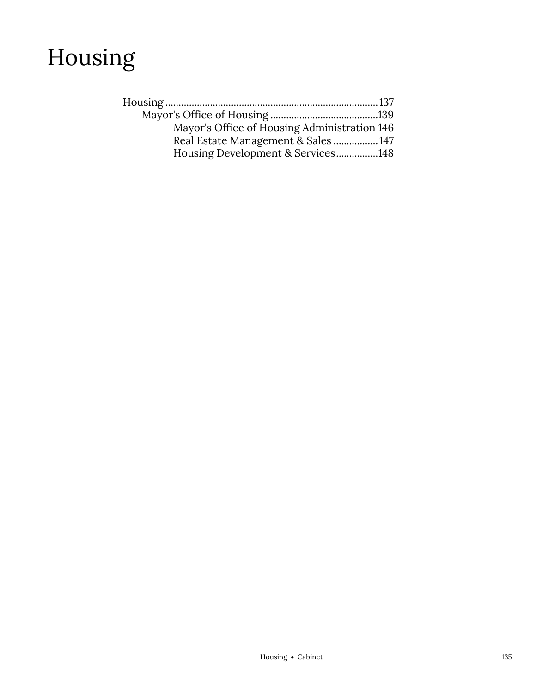

| Mayor's Office of Housing Administration 146 |  |
|----------------------------------------------|--|
| Real Estate Management & Sales  147          |  |
| Housing Development & Services148            |  |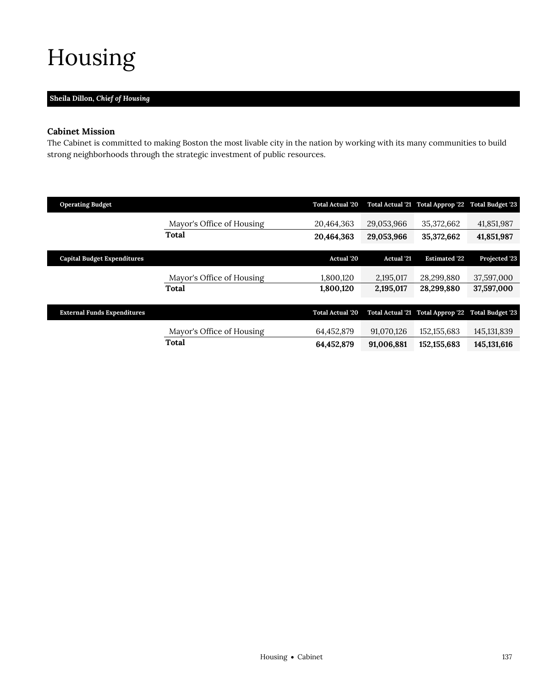# <span id="page-2-0"></span>Housing

# **Sheila Dillon,** *Chief of Housing*

# **Cabinet Mission**

The Cabinet is committed to making Boston the most livable city in the nation by working with its many communities to build strong neighborhoods through the strategic investment of public resources.

| <b>Operating Budget</b>            |                           | <b>Total Actual '20</b> |                   | Total Actual '21 Total Approp '22 Total Budget '23 |               |
|------------------------------------|---------------------------|-------------------------|-------------------|----------------------------------------------------|---------------|
|                                    | Mayor's Office of Housing | 20,464,363              | 29,053,966        | 35,372,662                                         | 41,851,987    |
|                                    | <b>Total</b>              | 20,464,363              | 29,053,966        | 35,372,662                                         | 41,851,987    |
|                                    |                           |                         |                   |                                                    |               |
| <b>Capital Budget Expenditures</b> |                           | <b>Actual</b> '20       | <b>Actual</b> '21 | <b>Estimated '22</b>                               | Projected '23 |
|                                    | Mayor's Office of Housing | 1,800,120               | 2,195,017         | 28,299,880                                         | 37,597,000    |
|                                    | <b>Total</b>              | 1,800,120               | 2,195,017         | 28,299,880                                         | 37,597,000    |
|                                    |                           |                         |                   |                                                    |               |
| <b>External Funds Expenditures</b> |                           | <b>Total Actual '20</b> |                   | Total Actual '21 Total Approp '22 Total Budget '23 |               |
|                                    | Mayor's Office of Housing | 64,452,879              | 91,070,126        | 152, 155, 683                                      | 145, 131, 839 |
|                                    |                           |                         |                   |                                                    |               |
|                                    | Total                     | 64,452,879              | 91,006,881        | 152, 155, 683                                      | 145, 131, 616 |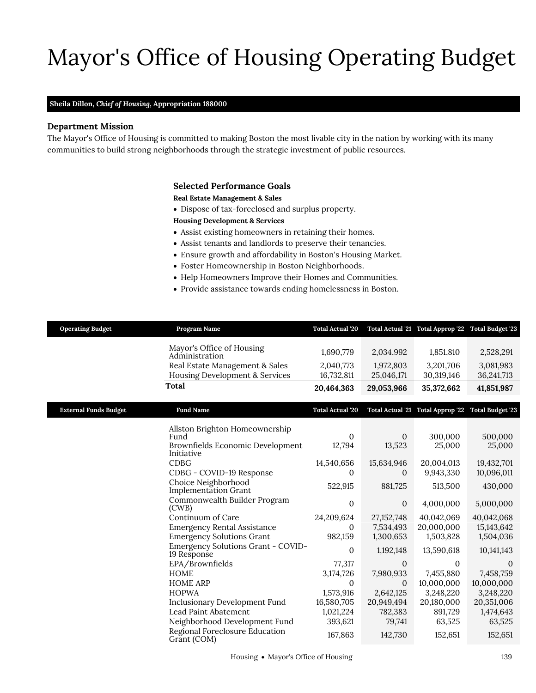# Mayor's Office of Housing Operating Budget

### **Sheila Dillon,** *Chief of Housing,* **Appropriation 188000**

# **Department Mission**

Mayor's Office of Housing

The Mayor's Office of Housing is committed to making Boston the most livable city in the nation by working with its many communities to build strong neighborhoods through the strategic investment of public resources.

## <span id="page-4-0"></span>**Selected Performance Goals**

**Real Estate Management & Sales**

- Dispose of tax-foreclosed and surplus property.
- **Housing Development & Services**
- Assist existing homeowners in retaining their homes.
- Assist tenants and landlords to preserve their tenancies.
- Ensure growth and affordability in Boston's Housing Market.
- Foster Homeownership in Boston Neighborhoods.
- Help Homeowners Improve their Homes and Communities.
- Provide assistance towards ending homelessness in Boston.

| <b>Operating Budget</b>      | Program Name                                                                                                                                                                                                 | <b>Total Actual '20</b>                                                                           |                                                                                                  | Total Actual '21 Total Approp '22 Total Budget '23                                                 |                                                                                           |
|------------------------------|--------------------------------------------------------------------------------------------------------------------------------------------------------------------------------------------------------------|---------------------------------------------------------------------------------------------------|--------------------------------------------------------------------------------------------------|----------------------------------------------------------------------------------------------------|-------------------------------------------------------------------------------------------|
|                              | Mayor's Office of Housing<br>Administration                                                                                                                                                                  | 1,690,779                                                                                         | 2,034,992                                                                                        | 1,851,810                                                                                          | 2,528,291                                                                                 |
|                              | Real Estate Management & Sales<br>Housing Development & Services                                                                                                                                             | 2,040,773<br>16,732,811                                                                           | 1,972,803<br>25,046,171                                                                          | 3,201,706<br>30,319,146                                                                            | 3,081,983<br>36,241,713                                                                   |
|                              | <b>Total</b>                                                                                                                                                                                                 | 20,464,363                                                                                        | 29,053,966                                                                                       | 35,372,662                                                                                         | 41,851,987                                                                                |
| <b>External Funds Budget</b> | <b>Fund Name</b>                                                                                                                                                                                             | <b>Total Actual '20</b>                                                                           |                                                                                                  | Total Actual '21 Total Approp '22 Total Budget '23                                                 |                                                                                           |
|                              | Allston Brighton Homeownership<br>Fund<br>Brownfields Economic Development<br>Initiative                                                                                                                     | $\mathbf{0}$<br>12,794                                                                            | $\theta$<br>13,523                                                                               | 300,000<br>25,000                                                                                  | 500,000<br>25,000                                                                         |
|                              | <b>CDBG</b><br>CDBG - COVID-19 Response<br>Choice Neighborhood                                                                                                                                               | 14,540,656<br>0                                                                                   | 15,634,946<br>$\Omega$                                                                           | 20,004,013<br>9,943,330                                                                            | 19,432,701<br>10,096,011                                                                  |
|                              | Implementation Grant<br>Commonwealth Builder Program<br>(CWB)                                                                                                                                                | 522,915<br>$\boldsymbol{0}$                                                                       | 881,725<br>$\mathbf{0}$                                                                          | 513,500<br>4,000,000                                                                               | 430,000<br>5,000,000                                                                      |
|                              | Continuum of Care<br><b>Emergency Rental Assistance</b><br><b>Emergency Solutions Grant</b>                                                                                                                  | 24,209,624<br>$\Omega$<br>982,159                                                                 | 27, 152, 748<br>7,534,493<br>1,300,653                                                           | 40,042,069<br>20,000,000<br>1,503,828                                                              | 40,042,068<br>15,143,642<br>1,504,036                                                     |
|                              | Emergency Solutions Grant - COVID-<br>19 Response                                                                                                                                                            | $\mathbf{0}$                                                                                      | 1,192,148                                                                                        | 13,590,618                                                                                         | 10, 141, 143                                                                              |
|                              | EPA/Brownfields<br>HOME<br><b>HOME ARP</b><br><b>HOPWA</b><br><b>Inclusionary Development Fund</b><br>Lead Paint Abatement<br>Neighborhood Development Fund<br>Regional Foreclosure Education<br>Grant (COM) | 77,317<br>3,174,726<br>$\mathbf{0}$<br>1,573,916<br>16,580,705<br>1,021,224<br>393,621<br>167,863 | $\mathbf{0}$<br>7,980,933<br>$\theta$<br>2,642,125<br>20,949,494<br>782,383<br>79,741<br>142,730 | $\mathbf{0}$<br>7,455,880<br>10,000,000<br>3,248,220<br>20,180,000<br>891,729<br>63,525<br>152,651 | 0<br>7,458,759<br>10,000,000<br>3,248,220<br>20,351,006<br>1,474,643<br>63,525<br>152,651 |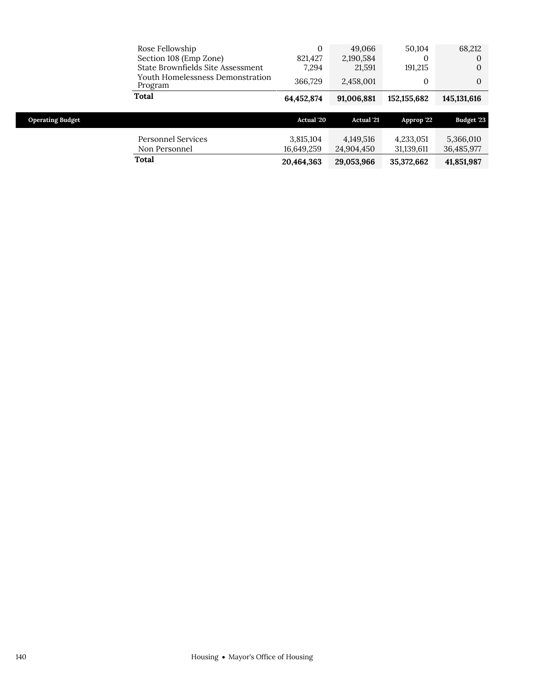|                         | Rose Fellowship                             | 0                       | 49.066                  | 50,104                  | 68,212                  |
|-------------------------|---------------------------------------------|-------------------------|-------------------------|-------------------------|-------------------------|
|                         | Section 108 (Emp Zone)                      | 821,427                 | 2,190,584               | $\Omega$                | 0                       |
|                         | State Brownfields Site Assessment           | 7,294                   | 21,591                  | 191,215                 | 0                       |
|                         | Youth Homelessness Demonstration<br>Program | 366,729                 | 2,458,001               | 0                       | $\Omega$                |
|                         | <b>Total</b>                                | 64,452,874              | 91,006,881              | 152, 155, 682           | 145, 131, 616           |
|                         |                                             |                         |                         |                         |                         |
|                         |                                             |                         |                         |                         |                         |
| <b>Operating Budget</b> |                                             | <b>Actual</b> '20       | <b>Actual</b> '21       | Approp '22              | <b>Budget '23</b>       |
|                         | Personnel Services<br>Non Personnel         | 3,815,104<br>16,649,259 | 4,149,516<br>24,904,450 | 4,233,051<br>31,139,611 | 5,366,010<br>36,485,977 |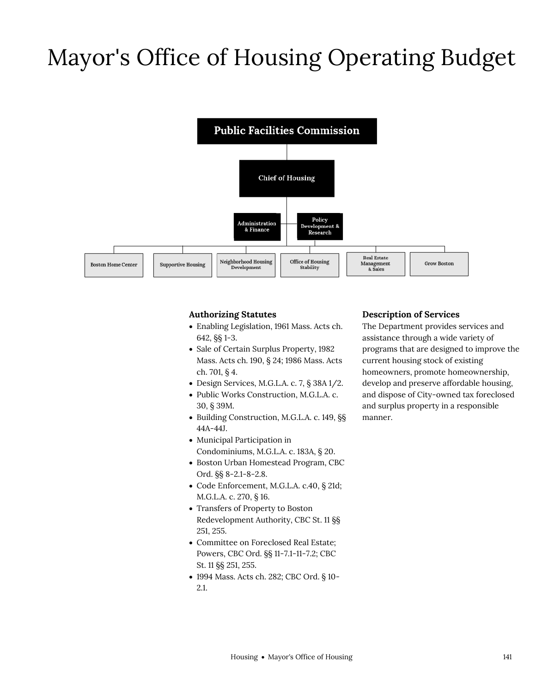# Mayor's Office of Housing Operating Budget



# **Authorizing Statutes**

- Enabling Legislation, 1961 Mass. Acts ch. 642, §§ 1-3.
- Sale of Certain Surplus Property, 1982 Mass. Acts ch. 190, § 24; 1986 Mass. Acts ch. 701, § 4.
- Design Services, M.G.L.A. c. 7, § 38A 1/2.
- Public Works Construction, M.G.L.A. c. 30, § 39M.
- Building Construction, M.G.L.A. c. 149, §§ 44A-44J.
- Municipal Participation in Condominiums, M.G.L.A. c. 183A, § 20.
- Boston Urban Homestead Program, CBC Ord. §§ 8-2.1-8-2.8.
- Code Enforcement, M.G.L.A. c.40, § 21d; M.G.L.A. c. 270, § 16.
- Transfers of Property to Boston Redevelopment Authority, CBC St. 11 §§ 251, 255.
- Committee on Foreclosed Real Estate; Powers, CBC Ord. §§ 11-7.1-11-7.2; CBC St. 11 §§ 251, 255.
- 1994 Mass. Acts ch. 282; CBC Ord. § 10- 2.1.

## **Description of Services**

The Department provides services and assistance through a wide variety of programs that are designed to improve the current housing stock of existing homeowners, promote homeownership, develop and preserve affordable housing, and dispose of City-owned tax foreclosed and surplus property in a responsible manner.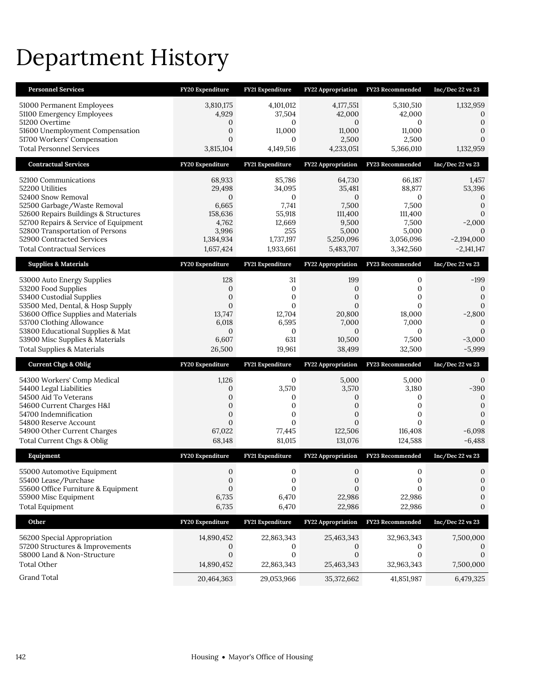# Department History

| <b>Personnel Services</b>                                           | FY20 Expenditure                 | <b>FY21 Expenditure</b>     | <b>FY22 Appropriation</b>           | <b>FY23 Recommended</b>    | Inc/Dec 22 vs 23             |
|---------------------------------------------------------------------|----------------------------------|-----------------------------|-------------------------------------|----------------------------|------------------------------|
| 51000 Permanent Employees                                           | 3,810,175                        | 4,101,012                   | 4,177,551                           | 5,310,510                  | 1,132,959                    |
| 51100 Emergency Employees                                           | 4,929                            | 37,504                      | 42,000                              | 42,000                     | $\Omega$                     |
| 51200 Overtime<br>51600 Unemployment Compensation                   | 0<br>$\mathbf{0}$                | $\mathbf{0}$<br>11,000      | $\mathbf{0}$<br>11,000              | $\mathbf{0}$<br>11,000     | $\mathbf{0}$<br>$\Omega$     |
| 51700 Workers' Compensation                                         | $\mathbf{0}$                     | $\mathbf{0}$                | 2,500                               | 2,500                      | $\mathbf{0}$                 |
| <b>Total Personnel Services</b>                                     | 3,815,104                        | 4,149,516                   | 4,233,051                           | 5,366,010                  | 1,132,959                    |
| <b>Contractual Services</b>                                         | FY20 Expenditure                 | FY21 Expenditure            | <b>FY22 Appropriation</b>           | <b>FY23</b> Recommended    | Inc/Dec 22 vs 23             |
| 52100 Communications                                                | 68,933                           | 85,786                      | 64,730                              | 66,187                     | 1,457                        |
| 52200 Utilities                                                     | 29,498                           | 34,095                      | 35,481                              | 88,877                     | 53,396                       |
| 52400 Snow Removal                                                  | $\mathbf{0}$                     | $\mathbf{0}$                | $\mathbf{0}$                        | $\mathbf{0}$               | $\mathbf 0$                  |
| 52500 Garbage/Waste Removal<br>52600 Repairs Buildings & Structures | 6,665<br>158,636                 | 7,741<br>55,918             | 7,500<br>111,400                    | 7,500<br>111,400           | $\mathbf{0}$<br>$\mathbf{0}$ |
| 52700 Repairs & Service of Equipment                                | 4,762                            | 12,669                      | 9,500                               | 7,500                      | $-2,000$                     |
| 52800 Transportation of Persons                                     | 3,996                            | 255                         | 5,000                               | 5,000                      |                              |
| 52900 Contracted Services                                           | 1,384,934                        | 1,737,197                   | 5,250,096                           | 3,056,096                  | $-2,194,000$                 |
| <b>Total Contractual Services</b>                                   | 1,657,424                        | 1,933,661                   | 5,483,707                           | 3,342,560                  | $-2,141,147$                 |
| <b>Supplies &amp; Materials</b>                                     | FY20 Expenditure                 | FY21 Expenditure            | <b>FY22 Appropriation</b>           | FY23 Recommended           | Inc/Dec 22 vs 23             |
| 53000 Auto Energy Supplies                                          | 128                              | 31                          | 199                                 | $\mathbf 0$                | $-199$                       |
| 53200 Food Supplies<br>53400 Custodial Supplies                     | $\mathbf{0}$<br>$\boldsymbol{0}$ | $\mathbf 0$<br>$\mathbf{0}$ | $\boldsymbol{0}$<br>$\mathbf{0}$    | $\mathbf 0$<br>$\mathbf 0$ | 0<br>$\mathbf{0}$            |
| 53500 Med, Dental, & Hosp Supply                                    | $\mathbf{0}$                     | $\mathbf{0}$                | $\Omega$                            | $\mathbf{0}$               | 0                            |
| 53600 Office Supplies and Materials                                 | 13,747                           | 12,704                      | 20,800                              | 18,000                     | $-2,800$                     |
| 53700 Clothing Allowance                                            | 6,018<br>$\mathbf{0}$            | 6,595<br>$\mathbf{0}$       | 7,000                               | 7,000                      | $\mathbf{0}$<br>$\Omega$     |
| 53800 Educational Supplies & Mat<br>53900 Misc Supplies & Materials | 6,607                            | 631                         | $\mathbf{0}$<br>10,500              | $\mathbf{0}$<br>7,500      | $-3,000$                     |
|                                                                     |                                  |                             |                                     |                            |                              |
| Total Supplies & Materials                                          | 26,500                           | 19,961                      | 38,499                              | 32,500                     | $-5,999$                     |
| <b>Current Chgs &amp; Oblig</b>                                     | FY20 Expenditure                 | <b>FY21 Expenditure</b>     | FY22 Appropriation                  | FY23 Recommended           | Inc/Dec 22 vs 23             |
|                                                                     |                                  |                             |                                     |                            |                              |
| 54300 Workers' Comp Medical<br>54400 Legal Liabilities              | 1,126<br>$\mathbf{0}$            | $\mathbf{0}$<br>3,570       | 5,000<br>3,570                      | 5,000<br>3,180             | $\mathbf{0}$<br>$-390$       |
| 54500 Aid To Veterans                                               | $\mathbf{0}$                     | 0                           | $\mathbf{0}$                        | $\mathbf 0$                | $\mathbf 0$                  |
| 54600 Current Charges H&I                                           | $\boldsymbol{0}$                 | $\mathbf{0}$                | $\mathbf{0}$                        | $\mathbf{0}$               | $\mathbf{0}$                 |
| 54700 Indemnification<br>54800 Reserve Account                      | $\mathbf{0}$<br>$\mathbf{0}$     | $\mathbf 0$<br>$\mathbf{0}$ | $\mathbf{0}$<br>$\mathbf{0}$        | $\mathbf{0}$<br>$\Omega$   | $\mathbf{0}$<br>$\Omega$     |
| 54900 Other Current Charges                                         | 67,022                           | 77,445                      | 122,506                             | 116,408                    | $-6,098$                     |
| Total Current Chgs & Oblig                                          | 68,148                           | 81,015                      | 131,076                             | 124,588                    | $-6,488$                     |
| Equipment                                                           | FY20 Expenditure                 | FY21 Expenditure            | <b>FY22 Appropriation</b>           | FY23 Recommended           | Inc/Dec 22 vs 23             |
| 55000 Automotive Equipment                                          | $\mathbf{0}$                     | $\mathbf{0}$                | $\mathbf{0}$                        | $\mathbf 0$                | $\mathbf 0$                  |
| 55400 Lease/Purchase                                                | 0                                | $\mathbf 0$                 | $\mathbf{0}$                        | 0                          | $\mathbf{0}$                 |
| 55600 Office Furniture & Equipment                                  | $\Omega$                         | $\Omega$                    | $\Omega$                            | 0                          | 0                            |
| 55900 Misc Equipment                                                | 6,735<br>6,735                   | 6,470<br>6,470              | 22,986                              | 22,986<br>22,986           | 0<br>0                       |
| <b>Total Equipment</b><br>Other                                     | FY20 Expenditure                 | <b>FY21 Expenditure</b>     | 22,986<br><b>FY22 Appropriation</b> | FY23 Recommended           | Inc/Dec 22 vs 23             |
|                                                                     |                                  |                             |                                     |                            |                              |
| 56200 Special Appropriation                                         | 14,890,452                       | 22,863,343                  | 25,463,343                          | 32,963,343                 | 7,500,000                    |
| 57200 Structures & Improvements<br>58000 Land & Non-Structure       | $\theta$<br>$\mathbf{0}$         | 0<br>0                      | $\theta$<br>$\mathbf{0}$            | 0<br>$\mathbf 0$           | $\Omega$                     |
| <b>Total Other</b>                                                  | 14,890,452                       | 22,863,343                  | 25,463,343                          | 32,963,343                 | 7,500,000                    |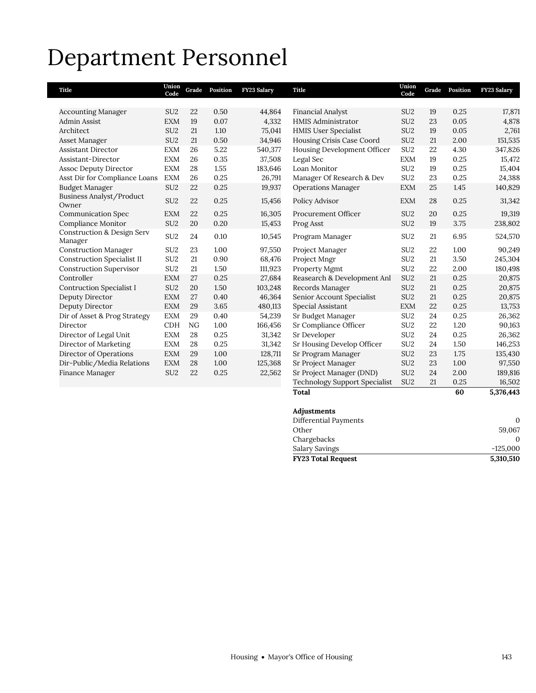# Department Personnel

| <b>Title</b>                                     | Union<br>Code   | Grade | Position | FY23 Salary | Title                                | Union<br>Code   | Grade | Position | <b>FY23 Salary</b> |
|--------------------------------------------------|-----------------|-------|----------|-------------|--------------------------------------|-----------------|-------|----------|--------------------|
|                                                  |                 |       |          |             |                                      |                 |       |          |                    |
| <b>Accounting Manager</b>                        | SU <sub>2</sub> | 22    | 0.50     | 44,864      | <b>Financial Analyst</b>             | SU <sub>2</sub> | 19    | 0.25     | 17,871             |
| <b>Admin Assist</b>                              | <b>EXM</b>      | 19    | 0.07     | 4,332       | <b>HMIS Administrator</b>            | SU <sub>2</sub> | 23    | 0.05     | 4,878              |
| Architect                                        | SU <sub>2</sub> | 21    | 1.10     | 75,041      | <b>HMIS User Specialist</b>          | SU <sub>2</sub> | 19    | 0.05     | 2,761              |
| Asset Manager                                    | SU <sub>2</sub> | 21    | 0.50     | 34,946      | Housing Crisis Case Coord            | SU <sub>2</sub> | 21    | 2.00     | 151,535            |
| <b>Assistant Director</b>                        | <b>EXM</b>      | 26    | 5.22     | 540,377     | Housing Development Officer          | SU <sub>2</sub> | 22    | 4.30     | 347,826            |
| Assistant-Director                               | <b>EXM</b>      | 26    | 0.35     | 37,508      | Legal Sec                            | <b>EXM</b>      | 19    | 0.25     | 15,472             |
| <b>Assoc Deputy Director</b>                     | <b>EXM</b>      | 28    | 1.55     | 183,646     | Loan Monitor                         | SU <sub>2</sub> | 19    | 0.25     | 15,404             |
| Asst Dir for Compliance Loans                    | <b>EXM</b>      | 26    | 0.25     | 26,791      | Manager Of Research & Dev            | SU <sub>2</sub> | 23    | 0.25     | 24,388             |
| <b>Budget Manager</b>                            | SU <sub>2</sub> | 22    | 0.25     | 19,937      | <b>Operations Manager</b>            | <b>EXM</b>      | 25    | 1.45     | 140,829            |
| Business Analyst/Product<br>Owner                | SU <sub>2</sub> | 22    | 0.25     | 15,456      | Policy Advisor                       | <b>EXM</b>      | 28    | 0.25     | 31,342             |
| <b>Communication Spec</b>                        | <b>EXM</b>      | 22    | 0.25     | 16,305      | Procurement Officer                  | SU <sub>2</sub> | 20    | 0.25     | 19,319             |
| Compliance Monitor                               | SU <sub>2</sub> | 20    | 0.20     | 15,453      | Prog Asst                            | SU <sub>2</sub> | 19    | 3.75     | 238,802            |
| <b>Construction &amp; Design Serv</b><br>Manager | SU <sub>2</sub> | 24    | 0.10     | 10,545      | Program Manager                      | SU <sub>2</sub> | 21    | 6.95     | 524,570            |
| <b>Construction Manager</b>                      | SU <sub>2</sub> | 23    | 1.00     | 97,550      | Project Manager                      | SU <sub>2</sub> | 22    | 1.00     | 90,249             |
| <b>Construction Specialist II</b>                | SU <sub>2</sub> | 21    | 0.90     | 68,476      | Project Mngr                         | SU <sub>2</sub> | 21    | 3.50     | 245,304            |
| <b>Construction Supervisor</b>                   | SU <sub>2</sub> | 21    | 1.50     | 111,923     | Property Mgmt                        | SU <sub>2</sub> | 22    | 2.00     | 180,498            |
| Controller                                       | <b>EXM</b>      | 27    | 0.25     | 27,684      | Reasearch & Development Anl          | SU <sub>2</sub> | 21    | 0.25     | 20,875             |
| <b>Contruction Specialist I</b>                  | SU <sub>2</sub> | 20    | 1.50     | 103,248     | Records Manager                      | SU <sub>2</sub> | 21    | 0.25     | 20,875             |
| Deputy Director                                  | <b>EXM</b>      | 27    | 0.40     | 46,364      | Senior Account Specialist            | SU <sub>2</sub> | 21    | 0.25     | 20,875             |
| Deputy Director                                  | <b>EXM</b>      | 29    | 3.65     | 480,113     | Special Assistant                    | <b>EXM</b>      | 22    | 0.25     | 13,753             |
| Dir of Asset & Prog Strategy                     | <b>EXM</b>      | 29    | 0.40     | 54,239      | Sr Budget Manager                    | SU <sub>2</sub> | 24    | 0.25     | 26,362             |
| Director                                         | <b>CDH</b>      | NG    | 1.00     | 166,456     | Sr Compliance Officer                | SU <sub>2</sub> | 22    | 1.20     | 90,163             |
| Director of Legal Unit                           | <b>EXM</b>      | 28    | 0.25     | 31,342      | Sr Developer                         | SU <sub>2</sub> | 24    | 0.25     | 26,362             |
| Director of Marketing                            | <b>EXM</b>      | 28    | 0.25     | 31,342      | Sr Housing Develop Officer           | SU <sub>2</sub> | 24    | 1.50     | 146,253            |
| Director of Operations                           | <b>EXM</b>      | 29    | 1.00     | 128,711     | Sr Program Manager                   | SU <sub>2</sub> | 23    | 1.75     | 135,430            |
| Dir-Public/Media Relations                       | <b>EXM</b>      | 28    | 1.00     | 125,368     | Sr Project Manager                   | SU <sub>2</sub> | 23    | 1.00     | 97,550             |
| Finance Manager                                  | SU <sub>2</sub> | 22    | 0.25     | 22,562      | Sr Project Manager (DND)             | SU <sub>2</sub> | 24    | 2.00     | 189,816            |
|                                                  |                 |       |          |             | <b>Technology Support Specialist</b> | SU <sub>2</sub> | 21    | 0.25     | 16,502             |

# **Adjustments**

| <b>FY23 Total Request</b> | 5,310,510  |
|---------------------------|------------|
| Salary Savings            | $-125.000$ |
| Chargebacks               |            |
| Other                     | 59.067     |
| Differential Payments     |            |
|                           |            |

**Total 60 5,376,443**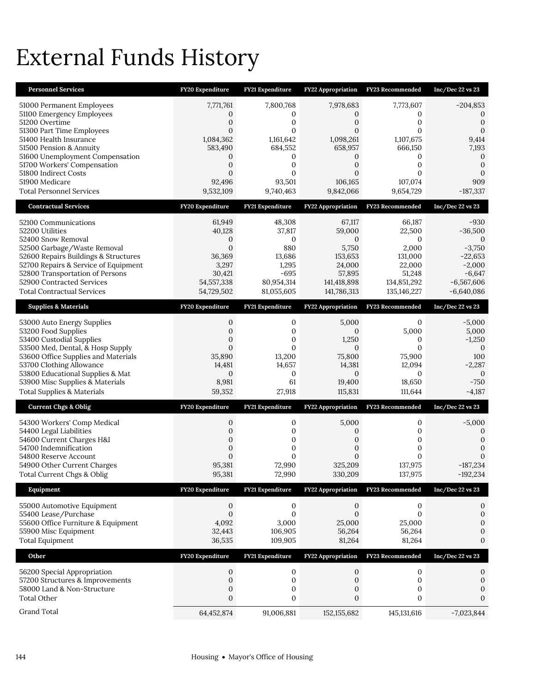# External Funds History

| <b>Personnel Services</b>                                                    | FY20 Expenditure                 | <b>FY21 Expenditure</b>     | <b>FY22 Appropriation</b>        | FY23 Recommended        | Inc/Dec 22 vs 23            |
|------------------------------------------------------------------------------|----------------------------------|-----------------------------|----------------------------------|-------------------------|-----------------------------|
| 51000 Permanent Employees                                                    | 7,771,761                        | 7,800,768                   | 7,978,683                        | 7,773,607               | $-204,853$                  |
| 51100 Emergency Employees<br>51200 Overtime                                  | 0<br>$\mathbf 0$                 | 0<br>$\mathbf{0}$           | 0<br>$\mathbf{0}$                | 0<br>$\mathbf{0}$       | 0<br>$\mathbf{0}$           |
| 51300 Part Time Employees                                                    | $\Omega$                         | $\Omega$                    | $\Omega$                         | 0                       | $\Omega$                    |
| 51400 Health Insurance<br>51500 Pension & Annuity                            | 1,084,362<br>583,490             | 1,161,642<br>684,552        | 1,098,261<br>658,957             | 1,107,675<br>666,150    | 9,414<br>7,193              |
| 51600 Unemployment Compensation                                              | 0                                | 0                           | 0                                | 0                       | $\boldsymbol{0}$            |
| 51700 Workers' Compensation<br>51800 Indirect Costs                          | $\mathbf{0}$<br>$\Omega$         | $\mathbf{0}$<br>$\Omega$    | $\mathbf{0}$<br>$\Omega$         | $\mathbf{0}$<br>0       | $\mathbf 0$<br>$\mathbf{0}$ |
| 51900 Medicare                                                               | 92,496                           | 93,501                      | 106,165                          | 107,074                 | 909                         |
| <b>Total Personnel Services</b>                                              | 9,532,109                        | 9,740,463                   | 9,842,066                        | 9,654,729               | $-187,337$                  |
| <b>Contractual Services</b>                                                  | FY20 Expenditure                 | FY21 Expenditure            | <b>FY22 Appropriation</b>        | FY23 Recommended        | Inc/Dec 22 vs 23            |
| 52100 Communications                                                         | 61,949                           | 48,308                      | 67,117                           | 66,187                  | -930                        |
| 52200 Utilities<br>52400 Snow Removal                                        | 40,128<br>0                      | 37,817<br>0                 | 59,000<br>$\mathbf{0}$           | 22,500<br>$\mathbf{0}$  | $-36,500$<br>0              |
| 52500 Garbage/Waste Removal                                                  | $\mathbf{0}$                     | 880                         | 5,750                            | 2,000                   | $-3,750$                    |
| 52600 Repairs Buildings & Structures<br>52700 Repairs & Service of Equipment | 36,369<br>3,297                  | 13,686<br>1,295             | 153,653<br>24,000                | 131.000<br>22,000       | $-22,653$<br>$-2,000$       |
| 52800 Transportation of Persons                                              | 30,421                           | $-695$                      | 57,895                           | 51,248                  | $-6,647$                    |
| 52900 Contracted Services                                                    | 54, 557, 338                     | 80,954,314                  | 141,418,898                      | 134,851,292             | $-6,567,606$                |
| <b>Total Contractual Services</b>                                            | 54,729,502                       | 81,055,605                  | 141,786,313                      | 135,146,227             | $-6,640,086$                |
| <b>Supplies &amp; Materials</b>                                              | FY20 Expenditure                 | FY21 Expenditure            | FY22 Appropriation               | FY23 Recommended        | $Inc/Dec$ 22 vs 23          |
| 53000 Auto Energy Supplies                                                   | $\mathbf 0$                      | $\mathbf{0}$                | 5,000                            | $\mathbf{0}$            | $-5,000$                    |
| 53200 Food Supplies<br>53400 Custodial Supplies                              | $\mathbf 0$<br>$\mathbf 0$       | $\mathbf{0}$<br>$\mathbf 0$ | $\mathbf{0}$<br>1,250            | 5,000<br>0              | 5,000<br>$-1,250$           |
| 53500 Med, Dental, & Hosp Supply                                             | $\mathbf{0}$                     | $\mathbf{0}$                | $\mathbf{0}$                     | $\mathbf{0}$            | $\overline{0}$              |
| 53600 Office Supplies and Materials<br>53700 Clothing Allowance              | 35,890<br>14,481                 | 13,200<br>14,657            | 75,800<br>14,381                 | 75,900<br>12,094        | 100<br>$-2,287$             |
| 53800 Educational Supplies & Mat                                             | $\mathbf{0}$                     | $\mathbf{0}$                | $\mathbf{0}$                     | $\mathbf{0}$            | $\overline{0}$              |
| 53900 Misc Supplies & Materials                                              | 8,981                            | 61                          | 19,400                           | 18,650                  | $-750$                      |
| Total Supplies & Materials                                                   | 59,352                           | 27,918                      | 115,831                          | 111,644                 | $-4,187$                    |
| <b>Current Chgs &amp; Oblig</b>                                              | FY20 Expenditure                 | FY21 Expenditure            | <b>FY22 Appropriation</b>        | FY23 Recommended        | Inc/Dec 22 vs 23            |
| 54300 Workers' Comp Medical                                                  | 0                                | $\boldsymbol{0}$            | 5,000                            | $\mathbf 0$             | $-5,000$                    |
| 54400 Legal Liabilities<br>54600 Current Charges H&I                         | $\mathbf{0}$<br>$\boldsymbol{0}$ | $\mathbf 0$<br>$\mathbf{0}$ | $\mathbf{0}$<br>$\boldsymbol{0}$ | 0<br>0                  | 0<br>$\mathbf 0$            |
| 54700 Indemnification                                                        | $\mathbf{0}$                     | $\mathbf{0}$                | $\mathbf{0}$                     | $\mathbf{0}$            | $\mathbf{0}$                |
| 54800 Reserve Account                                                        | $\Omega$                         | $\Omega$                    | $\Omega$                         | 0                       | 0                           |
| 54900 Other Current Charges<br>Total Current Chgs & Oblig                    | 95,381<br>95,381                 | 72,990<br>72,990            | 325,209<br>330,209               | 137,975<br>137,975      | $-187,234$<br>$-192,234$    |
| Equipment                                                                    | FY20 Expenditure                 | <b>FY21 Expenditure</b>     | <b>FY22 Appropriation</b>        | FY23 Recommended        | $Inc/Dec$ 22 vs 23          |
| 55000 Automotive Equipment                                                   | 0                                | 0                           | $\mathbf{0}$                     | 0                       | 0                           |
| 55400 Lease/Purchase                                                         | $\mathbf{0}$                     | $\mathbf{0}$                | $\mathbf{0}$                     | $\mathbf{0}$            | $\boldsymbol{0}$            |
| 55600 Office Furniture & Equipment<br>55900 Misc Equipment                   | 4,092<br>32,443                  | 3,000<br>106,905            | 25,000<br>56,264                 | 25,000<br>56,264        | $\mathbf{0}$<br>0           |
| <b>Total Equipment</b>                                                       | 36,535                           | 109,905                     | 81,264                           | 81,264                  | 0                           |
| Other                                                                        | FY20 Expenditure                 | FY21 Expenditure            | FY22 Appropriation               | <b>FY23 Recommended</b> | Inc/Dec 22 vs 23            |
| 56200 Special Appropriation                                                  | 0                                | $\mathbf 0$                 | $\mathbf{0}$                     | 0                       | 0                           |
| 57200 Structures & Improvements                                              | $\boldsymbol{0}$                 | $\mathbf 0$                 | $\mathbf 0$                      | 0                       | $\boldsymbol{0}$            |
| 58000 Land & Non-Structure                                                   | 0                                | $\boldsymbol{0}$            | 0                                | $\boldsymbol{0}$        | $\mathbf 0$                 |
| <b>Total Other</b>                                                           | $\mathbf{0}$                     | $\mathbf{0}$                | $\mathbf{0}$                     | $\mathbf{0}$            | 0                           |
| Grand Total                                                                  | 64,452,874                       | 91,006,881                  | 152, 155, 682                    | 145,131,616             | $-7,023,844$                |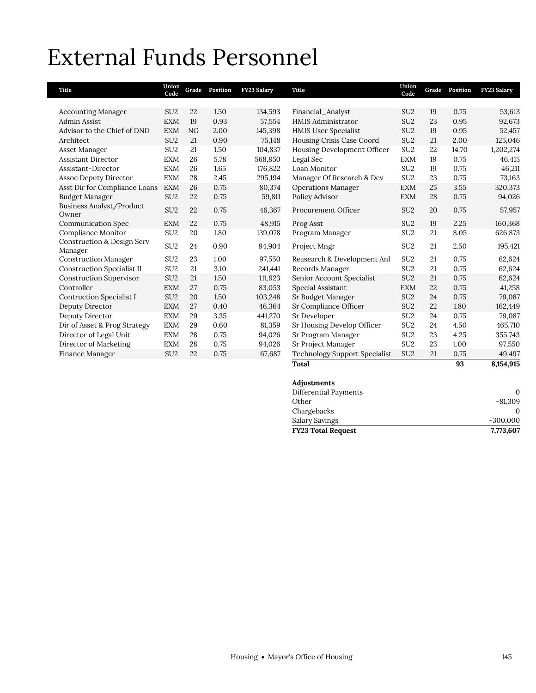# External Funds Personnel

| Title                                            | Union<br>Code   | Grade | Position | FY23 Salary | Title                                | Union<br>Code   | Grade | Position | FY23 Salary |
|--------------------------------------------------|-----------------|-------|----------|-------------|--------------------------------------|-----------------|-------|----------|-------------|
|                                                  |                 |       |          |             |                                      |                 |       |          |             |
| <b>Accounting Manager</b>                        | SU <sub>2</sub> | 22    | 1.50     | 134,593     | Financial_Analyst                    | SU <sub>2</sub> | 19    | 0.75     | 53,613      |
| <b>Admin Assist</b>                              | <b>EXM</b>      | 19    | 0.93     | 57,554      | <b>HMIS Administrator</b>            | SU <sub>2</sub> | 23    | 0.95     | 92,673      |
| Advisor to the Chief of DND                      | <b>EXM</b>      | NG    | 2.00     | 145,398     | <b>HMIS User Specialist</b>          | SU <sub>2</sub> | 19    | 0.95     | 52,457      |
| Architect                                        | SU <sub>2</sub> | 21    | 0.90     | 75,148      | Housing Crisis Case Coord            | SU <sub>2</sub> | 21    | 2.00     | 125,046     |
| Asset Manager                                    | SU <sub>2</sub> | 21    | 1.50     | 104,837     | Housing Development Officer          | SU <sub>2</sub> | 22    | 14.70    | 1,202,274   |
| <b>Assistant Director</b>                        | <b>EXM</b>      | 26    | 5.78     | 568,850     | Legal Sec                            | <b>EXM</b>      | 19    | 0.75     | 46,415      |
| Assistant-Director                               | <b>EXM</b>      | 26    | 1.65     | 176,822     | Loan Monitor                         | SU <sub>2</sub> | 19    | 0.75     | 46,211      |
| <b>Assoc Deputy Director</b>                     | <b>EXM</b>      | 28    | 2.45     | 295,194     | Manager Of Research & Dev            | SU <sub>2</sub> | 23    | 0.75     | 73,163      |
| Asst Dir for Compliance Loans                    | <b>EXM</b>      | 26    | 0.75     | 80,374      | <b>Operations Manager</b>            | <b>EXM</b>      | 25    | 3.55     | 320,373     |
| <b>Budget Manager</b>                            | SU <sub>2</sub> | 22    | 0.75     | 59,811      | Policy Advisor                       | <b>EXM</b>      | 28    | 0.75     | 94,026      |
| Business Analyst/Product<br>Owner                | SU <sub>2</sub> | 22    | 0.75     | 46,367      | Procurement Officer                  | SU <sub>2</sub> | 20    | 0.75     | 57,957      |
| <b>Communication Spec</b>                        | <b>EXM</b>      | 22    | 0.75     | 48,915      | Prog Asst                            | SU <sub>2</sub> | 19    | 2.25     | 160,368     |
| Compliance Monitor                               | SU <sub>2</sub> | 20    | 1.80     | 139,078     | Program Manager                      | SU <sub>2</sub> | 21    | 8.05     | 626,873     |
| <b>Construction &amp; Design Serv</b><br>Manager | SU <sub>2</sub> | 24    | 0.90     | 94,904      | Project Mngr                         | SU <sub>2</sub> | 21    | 2.50     | 195,421     |
| <b>Construction Manager</b>                      | SU <sub>2</sub> | 23    | 1.00     | 97,550      | Reasearch & Development Anl          | SU <sub>2</sub> | 21    | 0.75     | 62,624      |
| <b>Construction Specialist II</b>                | SU <sub>2</sub> | 21    | 3.10     | 241,441     | Records Manager                      | SU <sub>2</sub> | 21    | 0.75     | 62,624      |
| <b>Construction Supervisor</b>                   | SU <sub>2</sub> | 21    | 1.50     | 111,923     | Senior Account Specialist            | SU <sub>2</sub> | 21    | 0.75     | 62,624      |
| Controller                                       | <b>EXM</b>      | 27    | 0.75     | 83,053      | Special Assistant                    | <b>EXM</b>      | 22    | 0.75     | 41,258      |
| <b>Contruction Specialist I</b>                  | SU <sub>2</sub> | 20    | 1.50     | 103,248     | Sr Budget Manager                    | SU <sub>2</sub> | 24    | 0.75     | 79,087      |
| Deputy Director                                  | <b>EXM</b>      | 27    | 0.40     | 46,364      | Sr Compliance Officer                | SU <sub>2</sub> | 22    | 1.80     | 162,449     |
| Deputy Director                                  | <b>EXM</b>      | 29    | 3.35     | 441,270     | Sr Developer                         | SU <sub>2</sub> | 24    | 0.75     | 79,087      |
| Dir of Asset & Prog Strategy                     | <b>EXM</b>      | 29    | 0.60     | 81,359      | Sr Housing Develop Officer           | SU <sub>2</sub> | 24    | 4.50     | 465,710     |
| Director of Legal Unit                           | <b>EXM</b>      | 28    | 0.75     | 94,026      | Sr Program Manager                   | SU <sub>2</sub> | 23    | 4.25     | 355,743     |
| Director of Marketing                            | <b>EXM</b>      | 28    | 0.75     | 94,026      | Sr Project Manager                   | SU <sub>2</sub> | 23    | 1.00     | 97,550      |
| Finance Manager                                  | SU <sub>2</sub> | 22    | 0.75     | 67,687      | <b>Technology Support Specialist</b> | SU <sub>2</sub> | 21    | 0.75     | 49,497      |
|                                                  |                 |       |          |             | Total                                |                 |       | 93       | 8,154,915   |

| Adjustments               |            |
|---------------------------|------------|
| Differential Payments     | 0          |
| Other                     | $-81,309$  |
| Chargebacks               |            |
| Salary Savings            | $-300,000$ |
| <b>FY23 Total Request</b> | 7,773,607  |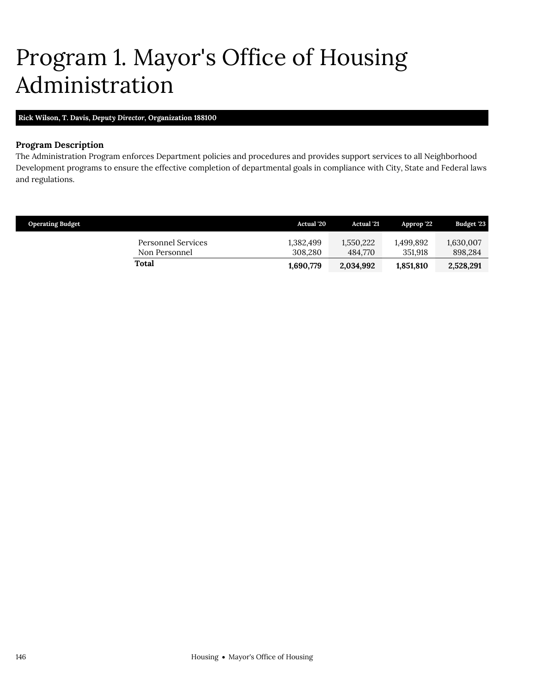# <span id="page-11-0"></span>Program 1. Mayor's Office of Housing Administration

**Rick Wilson, T. Davis,** *Deputy Director,* **Organization 188100**

# **Program Description**

The Administration Program enforces Department policies and procedures and provides support services to all Neighborhood Development programs to ensure the effective completion of departmental goals in compliance with City, State and Federal laws and regulations.

| <b>Operating Budget</b> |                                     | <b>Actual</b> '20    | <b>Actual</b> '21    | Approp '22           | <b>Budget '23</b>    |
|-------------------------|-------------------------------------|----------------------|----------------------|----------------------|----------------------|
|                         | Personnel Services<br>Non Personnel | 1,382,499<br>308.280 | 1,550,222<br>484.770 | 1.499.892<br>351.918 | 1,630,007<br>898.284 |
|                         | <b>Total</b>                        | 1,690,779            | 2,034,992            | 1,851,810            | 2,528,291            |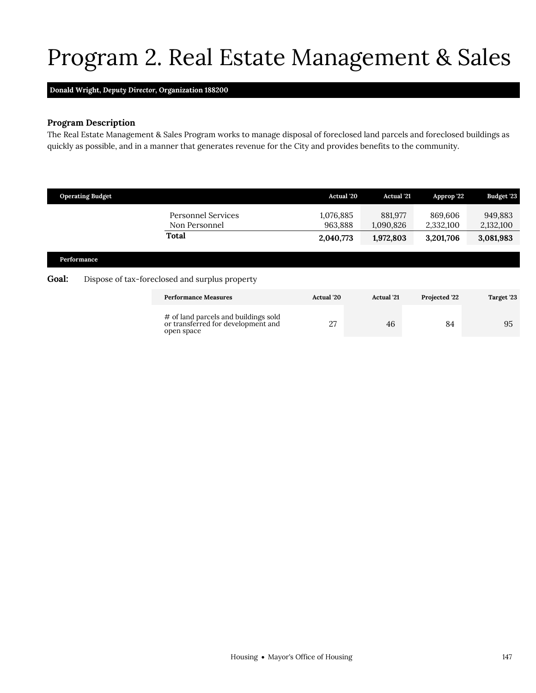# <span id="page-12-0"></span>Program 2. Real Estate Management & Sales

# **Donald Wright,** *Deputy Director,* **Organization 188200**

# **Program Description**

The Real Estate Management & Sales Program works to manage disposal of foreclosed land parcels and foreclosed buildings as quickly as possible, and in a manner that generates revenue for the City and provides benefits to the community.

|                                                                                                              | <b>Operating Budget</b> |                                                                                          | <b>Actual</b> '20    | <b>Actual</b> '21    | Approp '22           | Budget '23           |
|--------------------------------------------------------------------------------------------------------------|-------------------------|------------------------------------------------------------------------------------------|----------------------|----------------------|----------------------|----------------------|
|                                                                                                              |                         | Personnel Services<br>Non Personnel                                                      | 1,076,885<br>963.888 | 881,977<br>1,090,826 | 869,606<br>2,332,100 | 949,883<br>2,132,100 |
|                                                                                                              |                         | <b>Total</b>                                                                             | 2,040,773            | 1,972,803            | 3,201,706            | 3,081,983            |
| Performance<br><b>Goal:</b><br>Dispose of tax-foreclosed and surplus property<br><b>Performance Measures</b> |                         |                                                                                          |                      |                      |                      |                      |
|                                                                                                              |                         |                                                                                          | <b>Actual</b> '20    | <b>Actual</b> '21    | Projected '22        | Target '23           |
|                                                                                                              |                         | # of land parcels and buildings sold<br>or transferred for development and<br>open space | 27                   | 46                   | 84                   | 95                   |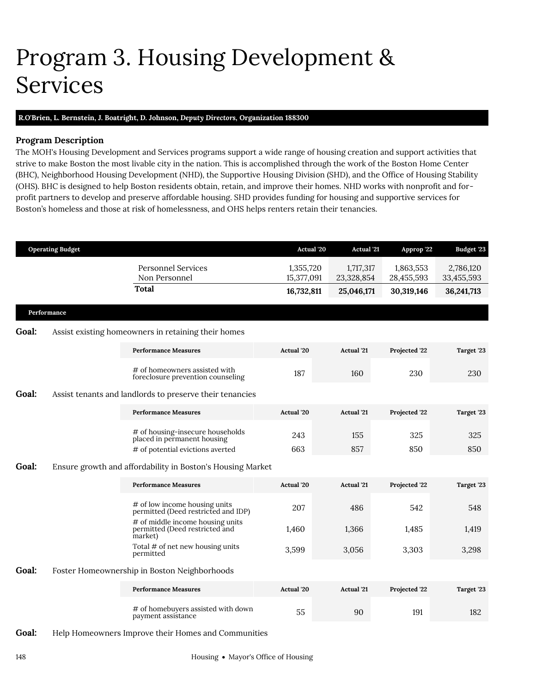# <span id="page-13-0"></span>Program 3. Housing Development & Services

## **R.O'Brien, L. Bernstein, J. Boatright, D. Johnson,** *Deputy Directors,* **Organization 188300**

# **Program Description**

The MOH's Housing Development and Services programs support a wide range of housing creation and support activities that strive to make Boston the most livable city in the nation. This is accomplished through the work of the Boston Home Center (BHC), Neighborhood Housing Development (NHD), the Supportive Housing Division (SHD), and the Office of Housing Stability (OHS). BHC is designed to help Boston residents obtain, retain, and improve their homes. NHD works with nonprofit and forprofit partners to develop and preserve affordable housing. SHD provides funding for housing and supportive services for Boston's homeless and those at risk of homelessness, and OHS helps renters retain their tenancies.

|              | <b>Operating Budget</b> |                                                                               | Actual '20              | <b>Actual</b> '21       | Approp '22              | Budget '23              |
|--------------|-------------------------|-------------------------------------------------------------------------------|-------------------------|-------------------------|-------------------------|-------------------------|
|              |                         | <b>Personnel Services</b><br>Non Personnel                                    | 1,355,720<br>15,377,091 | 1,717,317<br>23,328,854 | 1,863,553<br>28,455,593 | 2,786,120<br>33,455,593 |
|              |                         | <b>Total</b>                                                                  | 16,732,811              | 25,046,171              | 30,319,146              | 36,241,713              |
|              | Performance             |                                                                               |                         |                         |                         |                         |
| <b>Goal:</b> |                         | Assist existing homeowners in retaining their homes                           |                         |                         |                         |                         |
|              |                         | <b>Performance Measures</b>                                                   | <b>Actual</b> '20       | <b>Actual</b> '21       | Projected '22           | Target '23              |
|              |                         | # of homeowners assisted with<br>foreclosure prevention counseling            | 187                     | 160                     | 230                     | 230                     |
| Goal:        |                         | Assist tenants and landlords to preserve their tenancies                      |                         |                         |                         |                         |
|              |                         | <b>Performance Measures</b>                                                   | Actual '20              | <b>Actual</b> '21       | Projected '22           | Target '23              |
|              |                         | # of housing-insecure households<br>placed in permanent housing               | 243                     | 155                     | 325                     | 325                     |
|              |                         | # of potential evictions averted                                              | 663                     | 857                     | 850                     | 850                     |
| Goal:        |                         | Ensure growth and affordability in Boston's Housing Market                    |                         |                         |                         |                         |
|              |                         | <b>Performance Measures</b>                                                   | <b>Actual</b> '20       | <b>Actual</b> '21       | Projected '22           | Target '23              |
|              |                         | # of low income housing units<br>permitted (Deed restricted and IDP)          | 207                     | 486                     | 542                     | 548                     |
|              |                         | # of middle income housing units<br>permitted (Deed restricted and<br>market) | 1,460                   | 1,366                   | 1,485                   | 1,419                   |
|              |                         | Total # of net new housing units<br>permitted                                 | 3,599                   | 3,056                   | 3,303                   | 3,298                   |
| Goal:        |                         | Foster Homeownership in Boston Neighborhoods                                  |                         |                         |                         |                         |
|              |                         | <b>Performance Measures</b>                                                   | Actual '20              | <b>Actual</b> '21       | Projected '22           | Target '23              |
|              |                         | # of homebuyers assisted with down<br>payment assistance                      | 55                      | 90                      | 191                     | 182                     |

Goal: Help Homeowners Improve their Homes and Communities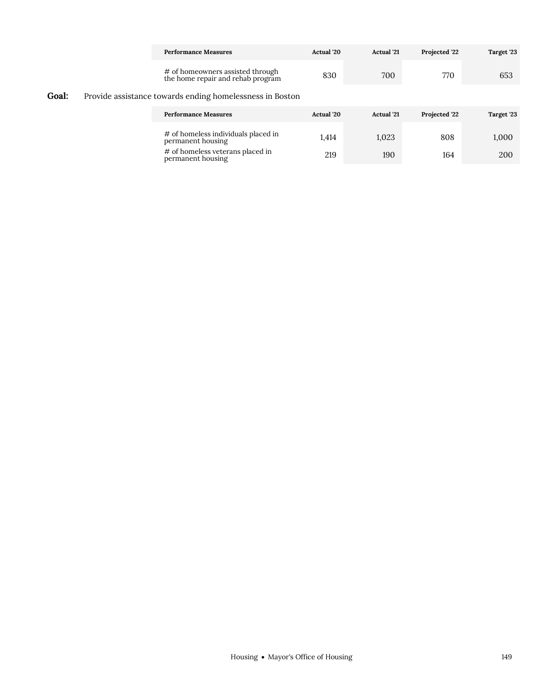|       |  | <b>Performance Measures</b>                                           | Actual '20 | <b>Actual</b> '21 | Projected '22 | Target '23 |
|-------|--|-----------------------------------------------------------------------|------------|-------------------|---------------|------------|
|       |  | # of homeowners assisted through<br>the home repair and rehab program | 830        | 700               | 770           | 653        |
| Goal: |  | Provide assistance towards ending homelessness in Boston              |            |                   |               |            |
|       |  | <b>Performance Measures</b>                                           | Actual '20 | <b>Actual</b> '21 | Projected '22 | Target '23 |
|       |  | # of homeless individuals placed in<br>permanent housing              | 1,414      | 1,023             | 808           | 1,000      |
|       |  | # of homeless veterans placed in<br>permanent housing                 | 219        | 190               | 164           | 200        |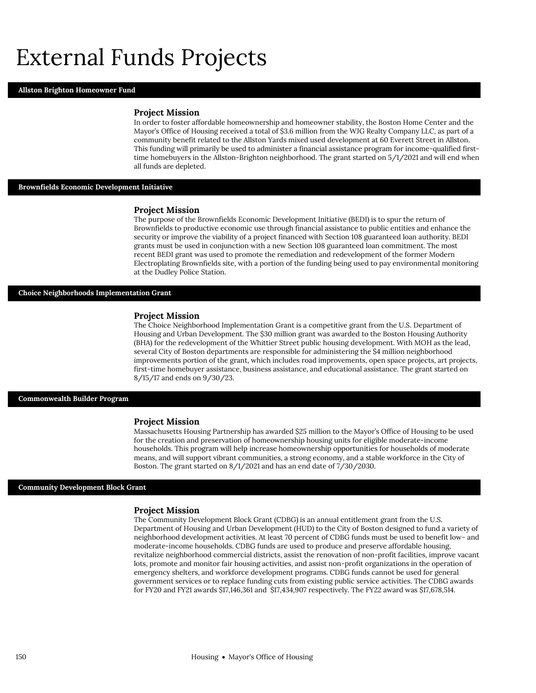# External Funds Projects

#### **Allston Brighton Homeowner Fund**

#### **Project Mission**

In order to foster affordable homeownership and homeowner stability, the Boston Home Center and the Mayor's Office of Housing received a total of \$3.6 million from the WJG Realty Company LLC, as part of a community benefit related to the Allston Yards mixed used development at 60 Everett Street in Allston. This funding will primarily be used to administer a financial assistance program for income-qualified firsttime homebuyers in the Allston-Brighton neighborhood. The grant started on 5/1/2021 and will end when all funds are depleted.

#### **Brownfields Economic Development Initiative**

#### **Project Mission**

The purpose of the Brownfields Economic Development Initiative (BEDI) is to spur the return of Brownfields to productive economic use through financial assistance to public entities and enhance the security or improve the viability of a project financed with Section 108 guaranteed loan authority. BEDI grants must be used in conjunction with a new Section 108 guaranteed loan commitment. The most recent BEDI grant was used to promote the remediation and redevelopment of the former Modern Electroplating Brownfields site, with a portion of the funding being used to pay environmental monitoring at the Dudley Police Station.

#### **Choice Neighborhoods Implementation Grant**

#### **Project Mission**

The Choice Neighborhood Implementation Grant is a competitive grant from the U.S. Department of Housing and Urban Development. The \$30 million grant was awarded to the Boston Housing Authority (BHA) for the redevelopment of the Whittier Street public housing development. With MOH as the lead, several City of Boston departments are responsible for administering the \$4 million neighborhood improvements portion of the grant, which includes road improvements, open space projects, art projects, first-time homebuyer assistance, business assistance, and educational assistance. The grant started on 8/15/17 and ends on 9/30/23.

#### **Commonwealth Builder Program**

#### **Project Mission**

Massachusetts Housing Partnership has awarded \$25 million to the Mayor's Office of Housing to be used for the creation and preservation of homeownership housing units for eligible moderate-income households. This program will help increase homeownership opportunities for households of moderate means, and will support vibrant communities, a strong economy, and a stable workforce in the City of Boston. The grant started on 8/1/2021 and has an end date of 7/30/2030.

#### **Community Development Block Grant**

#### **Project Mission**

The Community Development Block Grant (CDBG) is an annual entitlement grant from the U.S. Department of Housing and Urban Development (HUD) to the City of Boston designed to fund a variety of neighborhood development activities. At least 70 percent of CDBG funds must be used to benefit low- and moderate-income households. CDBG funds are used to produce and preserve affordable housing, revitalize neighborhood commercial districts, assist the renovation of non-profit facilities, improve vacant lots, promote and monitor fair housing activities, and assist non-profit organizations in the operation of emergency shelters, and workforce development programs. CDBG funds cannot be used for general government services or to replace funding cuts from existing public service activities. The CDBG awards for FY20 and FY21 awards \$17,146,361 and \$17,434,907 respectively. The FY22 award was \$17,678,514.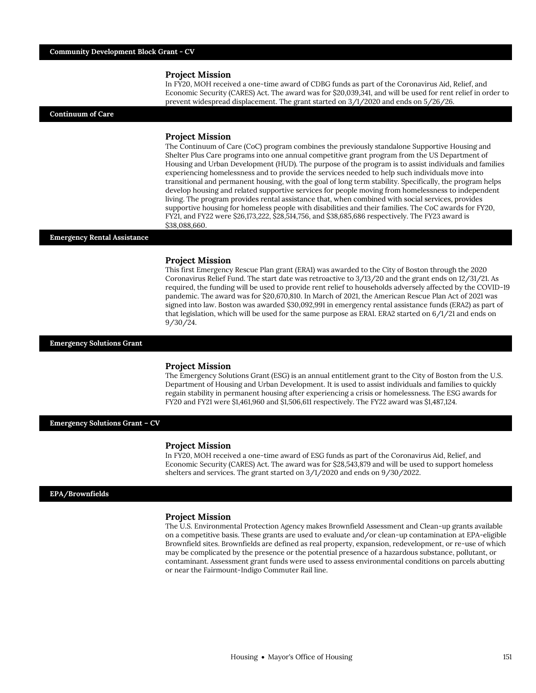#### **Project Mission**

In FY20, MOH received a one-time award of CDBG funds as part of the Coronavirus Aid, Relief, and Economic Security (CARES) Act. The award was for \$20,039,341, and will be used for rent relief in order to prevent widespread displacement. The grant started on 3/1/2020 and ends on 5/26/26.

#### **Continuum of Care**

#### **Project Mission**

The Continuum of Care (CoC) program combines the previously standalone Supportive Housing and Shelter Plus Care programs into one annual competitive grant program from the US Department of Housing and Urban Development (HUD). The purpose of the program is to assist individuals and families experiencing homelessness and to provide the services needed to help such individuals move into transitional and permanent housing, with the goal of long term stability. Specifically, the program helps develop housing and related supportive services for people moving from homelessness to independent living. The program provides rental assistance that, when combined with social services, provides supportive housing for homeless people with disabilities and their families. The CoC awards for FY20, FY21, and FY22 were \$26,173,222, \$28,514,756, and \$38,685,686 respectively. The FY23 award is \$38,088,660.

#### **Emergency Rental Assistance**

#### **Project Mission**

This first Emergency Rescue Plan grant (ERA1) was awarded to the City of Boston through the 2020 Coronavirus Relief Fund. The start date was retroactive to 3/13/20 and the grant ends on 12/31/21. As required, the funding will be used to provide rent relief to households adversely affected by the COVID-19 pandemic. The award was for \$20,670,810. In March of 2021, the American Rescue Plan Act of 2021 was signed into law. Boston was awarded \$30,092,991 in emergency rental assistance funds (ERA2) as part of that legislation, which will be used for the same purpose as ERA1. ERA2 started on 6/1/21 and ends on 9/30/24.

## **Emergency Solutions Grant**

#### **Project Mission**

The Emergency Solutions Grant (ESG) is an annual entitlement grant to the City of Boston from the U.S. Department of Housing and Urban Development. It is used to assist individuals and families to quickly regain stability in permanent housing after experiencing a crisis or homelessness. The ESG awards for FY20 and FY21 were \$1,461,960 and \$1,506,611 respectively. The FY22 award was \$1,487,124.

#### **Emergency Solutions Grant – CV**

#### **Project Mission**

In FY20, MOH received a one-time award of ESG funds as part of the Coronavirus Aid, Relief, and Economic Security (CARES) Act. The award was for \$28,543,879 and will be used to support homeless shelters and services. The grant started on 3/1/2020 and ends on 9/30/2022.

#### **EPA/Brownfields**

#### **Project Mission**

The U.S. Environmental Protection Agency makes Brownfield Assessment and Clean-up grants available on a competitive basis. These grants are used to evaluate and/or clean-up contamination at EPA-eligible Brownfield sites. Brownfields are defined as real property, expansion, redevelopment, or re-use of which may be complicated by the presence or the potential presence of a hazardous substance, pollutant, or contaminant. Assessment grant funds were used to assess environmental conditions on parcels abutting or near the Fairmount-Indigo Commuter Rail line.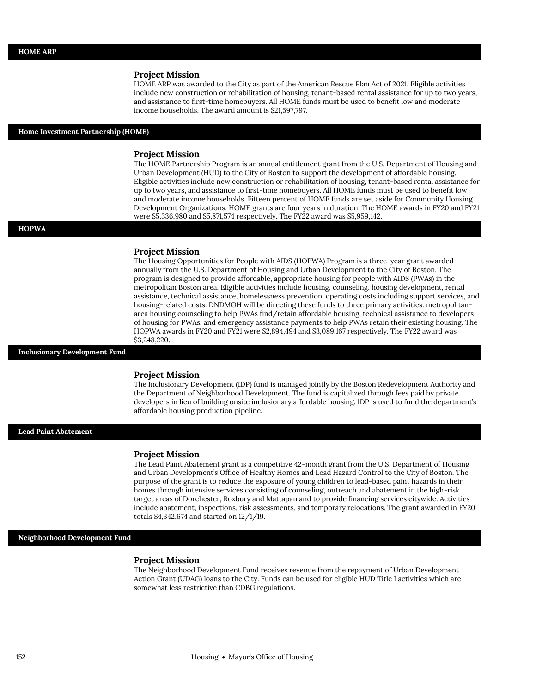#### **Project Mission**

HOME ARP was awarded to the City as part of the American Rescue Plan Act of 2021. Eligible activities include new construction or rehabilitation of housing, tenant-based rental assistance for up to two years, and assistance to first-time homebuyers. All HOME funds must be used to benefit low and moderate income households. The award amount is \$21,597,797.

#### **Home Investment Partnership (HOME)**

### **Project Mission**

The HOME Partnership Program is an annual entitlement grant from the U.S. Department of Housing and Urban Development (HUD) to the City of Boston to support the development of affordable housing. Eligible activities include new construction or rehabilitation of housing, tenant-based rental assistance for up to two years, and assistance to first-time homebuyers. All HOME funds must be used to benefit low and moderate income households. Fifteen percent of HOME funds are set aside for Community Housing Development Organizations. HOME grants are four years in duration. The HOME awards in FY20 and FY21 were \$5,336,980 and \$5,871,574 respectively. The FY22 award was \$5,959,142.

#### **HOPWA**

#### **Project Mission**

The Housing Opportunities for People with AIDS (HOPWA) Program is a three-year grant awarded annually from the U.S. Department of Housing and Urban Development to the City of Boston. The program is designed to provide affordable, appropriate housing for people with AIDS (PWAs) in the metropolitan Boston area. Eligible activities include housing, counseling, housing development, rental assistance, technical assistance, homelessness prevention, operating costs including support services, and housing-related costs. DNDMOH will be directing these funds to three primary activities: metropolitanarea housing counseling to help PWAs find/retain affordable housing, technical assistance to developers of housing for PWAs, and emergency assistance payments to help PWAs retain their existing housing. The HOPWA awards in FY20 and FY21 were \$2,894,494 and \$3,089,167 respectively. The FY22 award was \$3,248,220.

#### **Inclusionary Development Fund**

#### **Project Mission**

The Inclusionary Development (IDP) fund is managed jointly by the Boston Redevelopment Authority and the Department of Neighborhood Development. The fund is capitalized through fees paid by private developers in lieu of building onsite inclusionary affordable housing. IDP is used to fund the department's affordable housing production pipeline.

### **Lead Paint Abatement**

#### **Project Mission**

The Lead Paint Abatement grant is a competitive 42-month grant from the U.S. Department of Housing and Urban Development's Office of Healthy Homes and Lead Hazard Control to the City of Boston. The purpose of the grant is to reduce the exposure of young children to lead-based paint hazards in their homes through intensive services consisting of counseling, outreach and abatement in the high-risk target areas of Dorchester, Roxbury and Mattapan and to provide financing services citywide. Activities include abatement, inspections, risk assessments, and temporary relocations. The grant awarded in FY20 totals \$4,342,674 and started on 12/1/19.

#### **Neighborhood Development Fund**

#### **Project Mission**

The Neighborhood Development Fund receives revenue from the repayment of Urban Development Action Grant (UDAG) loans to the City. Funds can be used for eligible HUD Title I activities which are somewhat less restrictive than CDBG regulations.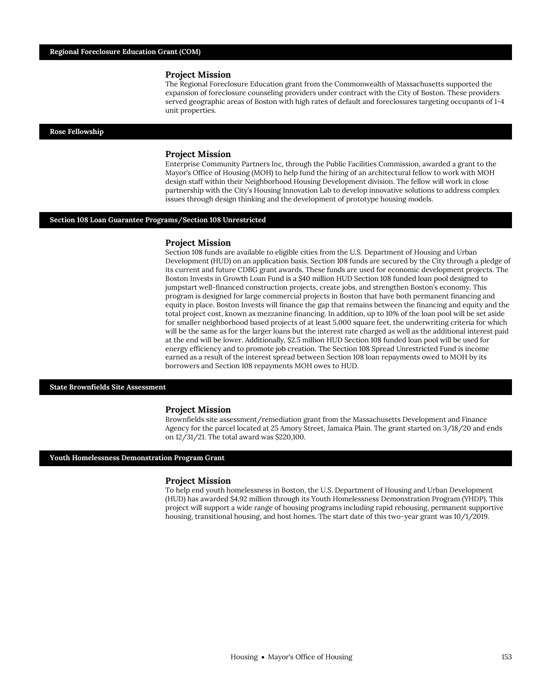#### **Project Mission**

The Regional Foreclosure Education grant from the Commonwealth of Massachusetts supported the expansion of foreclosure counseling providers under contract with the City of Boston. These providers served geographic areas of Boston with high rates of default and foreclosures targeting occupants of 1-4 unit properties.

#### **Rose Fellowship**

#### **Project Mission**

Enterprise Community Partners Inc, through the Public Facilities Commission, awarded a grant to the Mayor's Office of Housing (MOH) to help fund the hiring of an architectural fellow to work with MOH design staff within their Neighborhood Housing Development division. The fellow will work in close partnership with the City's Housing Innovation Lab to develop innovative solutions to address complex issues through design thinking and the development of prototype housing models.

#### **Section 108 Loan Guarantee Programs/Section 108 Unrestricted**

#### **Project Mission**

Section 108 funds are available to eligible cities from the U.S. Department of Housing and Urban Development (HUD) on an application basis. Section 108 funds are secured by the City through a pledge of its current and future CDBG grant awards. These funds are used for economic development projects. The Boston Invests in Growth Loan Fund is a \$40 million HUD Section 108 funded loan pool designed to jumpstart well-financed construction projects, create jobs, and strengthen Boston's economy. This program is designed for large commercial projects in Boston that have both permanent financing and equity in place. Boston Invests will finance the gap that remains between the financing and equity and the total project cost, known as mezzanine financing. In addition, up to 10% of the loan pool will be set aside for smaller neighborhood based projects of at least 5,000 square feet, the underwriting criteria for which will be the same as for the larger loans but the interest rate charged as well as the additional interest paid at the end will be lower. Additionally, \$2.5 million HUD Section 108 funded loan pool will be used for energy efficiency and to promote job creation. The Section 108 Spread Unrestricted Fund is income earned as a result of the interest spread between Section 108 loan repayments owed to MOH by its borrowers and Section 108 repayments MOH owes to HUD.

#### **State Brownfields Site Assessment**

#### **Project Mission**

Brownfields site assessment/remediation grant from the Massachusetts Development and Finance Agency for the parcel located at 25 Amory Street, Jamaica Plain. The grant started on 3/18/20 and ends on 12/31/21. The total award was \$220,100.

#### **Youth Homelessness Demonstration Program Grant**

#### **Project Mission**

To help end youth homelessness in Boston, the U.S. Department of Housing and Urban Development (HUD) has awarded \$4.92 million through its Youth Homelessness Demonstration Program (YHDP). This project will support a wide range of housing programs including rapid rehousing, permanent supportive housing, transitional housing, and host homes. The start date of this two-year grant was 10/1/2019.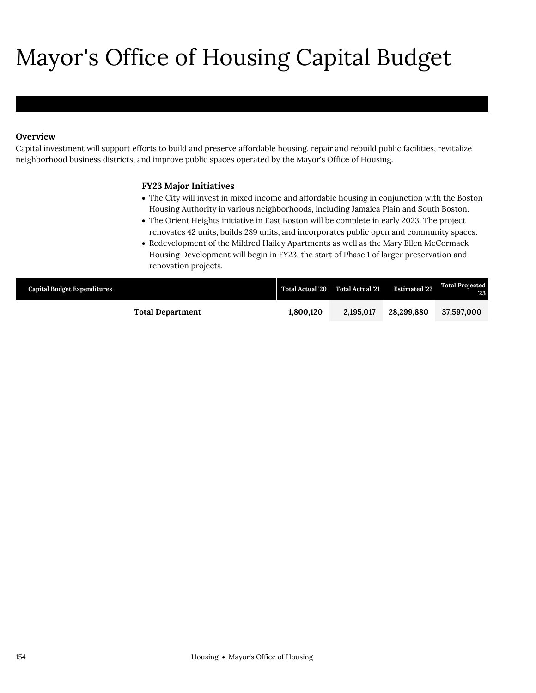# Mayor's Office of Housing Capital Budget

# **Overview**

Mayor's Office of Housing

Capital investment will support efforts to build and preserve affordable housing, repair and rebuild public facilities, revitalize neighborhood business districts, and improve public spaces operated by the Mayor's Office of Housing.

# **FY23 Major Initiatives**

- The City will invest in mixed income and affordable housing in conjunction with the Boston Housing Authority in various neighborhoods, including Jamaica Plain and South Boston.
- The Orient Heights initiative in East Boston will be complete in early 2023. The project renovates 42 units, builds 289 units, and incorporates public open and community spaces.
- Redevelopment of the Mildred Hailey Apartments as well as the Mary Ellen McCormack Housing Development will begin in FY23, the start of Phase 1 of larger preservation and renovation projects.

| <b>Capital Budget Expenditures</b> | <b>Total Actual '20</b> | Total Actual '21 | <b>Estimated '22</b> | <b>Total Projected</b><br>'23' |
|------------------------------------|-------------------------|------------------|----------------------|--------------------------------|
| <b>Total Department</b>            | 1,800,120               | 2.195,017        | 28.299.880           | 37,597,000                     |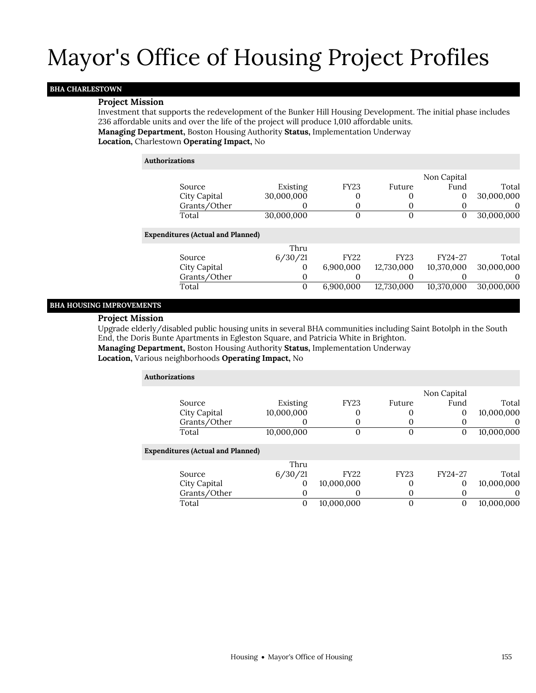# **BHA CHARLESTOWN**

### **Project Mission**

Investment that supports the redevelopment of the Bunker Hill Housing Development. The initial phase includes 236 affordable units and over the life of the project will produce 1,010 affordable units.

**Managing Department,** Boston Housing Authority **Status,** Implementation Underway

**Location,** Charlestown **Operating Impact,** No

#### **Authorizations**

| Source<br>City Capital<br>Grants/Other<br>Total | Existing<br>30,000,000<br>30,000,000 | <b>FY23</b><br>0<br>0<br>0 | Future<br>$\Omega$<br>$\Omega$<br>$\Omega$ | Non Capital<br>Fund<br>0<br>O<br>0 | Total<br>30,000,000<br>$\theta$<br>30,000,000 |
|-------------------------------------------------|--------------------------------------|----------------------------|--------------------------------------------|------------------------------------|-----------------------------------------------|
|                                                 |                                      |                            |                                            |                                    |                                               |
| <b>Expenditures (Actual and Planned)</b>        |                                      |                            |                                            |                                    |                                               |
|                                                 | Thru                                 |                            |                                            |                                    |                                               |
| Source                                          | 6/30/21                              | <b>FY22</b>                | <b>FY23</b>                                | FY24-27                            | Total                                         |
| City Capital                                    | O                                    | 6,900,000                  | 12,730,000                                 | 10,370,000                         | 30,000,000                                    |
| Grants/Other                                    | 0                                    | O                          | $\Omega$                                   |                                    | $\mathbf{0}$                                  |
| Total                                           | 0                                    | 6,900,000                  | 12,730,000                                 | 10,370,000                         | 30,000,000                                    |

## **BHA HOUSING IMPROVEMENTS**

### **Project Mission**

Upgrade elderly/disabled public housing units in several BHA communities including Saint Botolph in the South End, the Doris Bunte Apartments in Egleston Square, and Patricia White in Brighton.

**Managing Department,** Boston Housing Authority **Status,** Implementation Underway

**Location,** Various neighborhoods **Operating Impact,** No

| <b>Authorizations</b> |                                          |            |             |             |             |            |  |  |
|-----------------------|------------------------------------------|------------|-------------|-------------|-------------|------------|--|--|
|                       |                                          |            |             |             | Non Capital |            |  |  |
|                       | Source                                   | Existing   | <b>FY23</b> | Future      | Fund        | Total      |  |  |
|                       | City Capital                             | 10,000,000 | U           | $\Omega$    | 0           | 10,000,000 |  |  |
|                       | Grants/Other                             |            | 0           | $\Omega$    | O           | $\theta$   |  |  |
|                       | Total                                    | 10,000,000 | 0           | $\Omega$    | 0           | 10,000,000 |  |  |
|                       | <b>Expenditures (Actual and Planned)</b> |            |             |             |             |            |  |  |
|                       |                                          | Thru       |             |             |             |            |  |  |
|                       | Source                                   | 6/30/21    | <b>FY22</b> | <b>FY23</b> | FY24-27     | Total      |  |  |
|                       | City Capital                             | 0          | 10,000,000  | 0           | $\mathbf 0$ | 10,000,000 |  |  |
|                       | Grants/Other                             | $\Omega$   | 0           | $\mathbf 0$ | 0           | 0          |  |  |
|                       | Total                                    | 0          | 10,000,000  | 0           | 0           | 10.000.000 |  |  |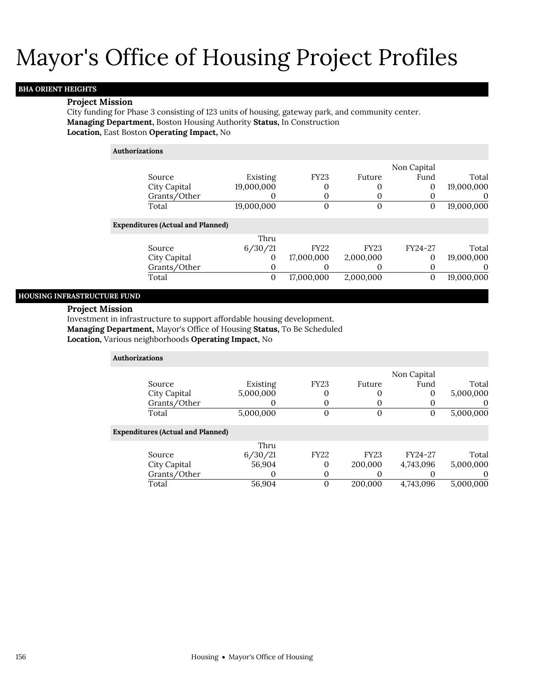# **BHA ORIENT HEIGHTS**

### **Project Mission**

City funding for Phase 3 consisting of 123 units of housing, gateway park, and community center. **Managing Department,** Boston Housing Authority **Status,** In Construction **Location,** East Boston **Operating Impact,** No

| <b>Authorizations</b> |                                          |            |             |             |              |            |
|-----------------------|------------------------------------------|------------|-------------|-------------|--------------|------------|
|                       |                                          |            |             |             | Non Capital  |            |
|                       | Source                                   | Existing   | <b>FY23</b> | Future      | Fund         | Total      |
|                       | City Capital                             | 19,000,000 | 0           |             | 0            | 19,000,000 |
|                       | Grants/Other                             |            | 0           | $\Omega$    | 0            | $\theta$   |
|                       | Total                                    | 19,000,000 | 0           | 0           | $\mathbf{0}$ | 19,000,000 |
|                       | <b>Expenditures (Actual and Planned)</b> |            |             |             |              |            |
|                       |                                          | Thru       |             |             |              |            |
|                       | Source                                   | 6/30/21    | <b>FY22</b> | <b>FY23</b> | FY24-27      | Total      |
|                       | City Capital                             | 0          | 17,000,000  | 2,000,000   | 0            | 19,000,000 |
|                       | Grants/Other                             | 0          | $\Omega$    | O           | 0            | 0          |
|                       | Total                                    | 0          | 17,000,000  | 2,000,000   | $\mathbf{0}$ | 19,000,000 |
|                       |                                          |            |             |             |              |            |

### **HOUSING INFRASTRUCTURE FUND**

### **Project Mission**

Investment in infrastructure to support affordable housing development. **Managing Department,** Mayor's Office of Housing **Status,** To Be Scheduled

**Location,** Various neighborhoods **Operating Impact,** No

| <b>Authorizations</b>                    |           |              |             |             |           |
|------------------------------------------|-----------|--------------|-------------|-------------|-----------|
|                                          |           |              |             | Non Capital |           |
| Source                                   | Existing  | <b>FY23</b>  | Future      | Fund        | Total     |
| City Capital                             | 5,000,000 | 0            |             | $\Omega$    | 5,000,000 |
| Grants/Other                             | O         | 0            |             |             | $\theta$  |
| Total                                    | 5,000,000 | $\mathbf{0}$ | $\Omega$    |             | 5,000,000 |
| <b>Expenditures (Actual and Planned)</b> |           |              |             |             |           |
|                                          | Thru      |              |             |             |           |
| Source                                   | 6/30/21   | <b>FY22</b>  | <b>FY23</b> | FY24-27     | Total     |
| City Capital                             | 56,904    | 0            | 200,000     | 4,743,096   | 5,000,000 |
| Grants/Other                             | O         | 0            |             |             | $\Omega$  |
| Total                                    | 56,904    | 0            | 200.000     | 4,743,096   | 5,000,000 |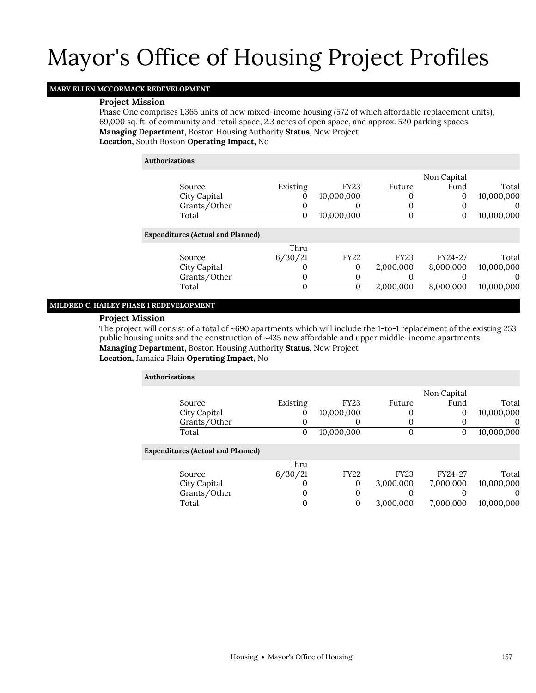# **MARY ELLEN MCCORMACK REDEVELOPMENT**

### **Project Mission**

Phase One comprises 1,365 units of new mixed-income housing (572 of which affordable replacement units), 69,000 sq. ft. of community and retail space, 2.3 acres of open space, and approx. 520 parking spaces. **Managing Department,** Boston Housing Authority **Status,** New Project

**Location,** South Boston **Operating Impact,** No

#### **Authorizations**

|                                          |              |             |             | Non Capital |            |
|------------------------------------------|--------------|-------------|-------------|-------------|------------|
| Source                                   | Existing     | <b>FY23</b> | Future      | Fund        | Total      |
| City Capital                             | 0            | 10,000,000  | 0           | 0           | 10,000,000 |
| Grants/Other                             |              | O           |             |             | $\Omega$   |
| Total                                    | 0            | 10,000,000  | 0           | 0           | 10,000,000 |
| <b>Expenditures (Actual and Planned)</b> |              |             |             |             |            |
|                                          | Thru         |             |             |             |            |
| Source                                   | 6/30/21      | <b>FY22</b> | <b>FY23</b> | FY24-27     | Total      |
| City Capital                             |              | 0           | 2,000,000   | 8,000,000   | 10,000,000 |
| Grants/Other                             |              | 0           |             |             | $\theta$   |
| Total                                    | $\mathbf{0}$ | 0           | 2.000.000   | 8,000,000   | 10,000,000 |
|                                          |              |             |             |             |            |

## **MILDRED C. HAILEY PHASE 1 REDEVELOPMENT**

#### **Project Mission**

The project will consist of a total of ~690 apartments which will include the 1-to-1 replacement of the existing 253 public housing units and the construction of ~435 new affordable and upper middle-income apartments.

**Managing Department,** Boston Housing Authority **Status,** New Project

#### **Location,** Jamaica Plain **Operating Impact,** No

| <b>Authorizations</b>                    |          |              |             |             |            |  |  |  |
|------------------------------------------|----------|--------------|-------------|-------------|------------|--|--|--|
|                                          |          |              |             | Non Capital |            |  |  |  |
| Source                                   | Existing | <b>FY23</b>  | Future      | Fund        | Total      |  |  |  |
| City Capital                             | 0        | 10,000,000   | 0           | 0           | 10,000,000 |  |  |  |
| Grants/Other                             | 0        | O            | $\Omega$    | 0           | $\theta$   |  |  |  |
| Total                                    | 0        | 10,000,000   | 0           | 0           | 10,000,000 |  |  |  |
| <b>Expenditures (Actual and Planned)</b> |          |              |             |             |            |  |  |  |
|                                          | Thru     |              |             |             |            |  |  |  |
| Source                                   | 6/30/21  | <b>FY22</b>  | <b>FY23</b> | FY24-27     | Total      |  |  |  |
| City Capital                             |          | $\mathbf{0}$ | 3,000,000   | 7,000,000   | 10,000,000 |  |  |  |
| Grants/Other                             | $\Omega$ | 0            | $\Omega$    |             | $\Omega$   |  |  |  |
| Total                                    | 0        | 0            | 3.000.000   | 7.000.000   | 10.000.000 |  |  |  |